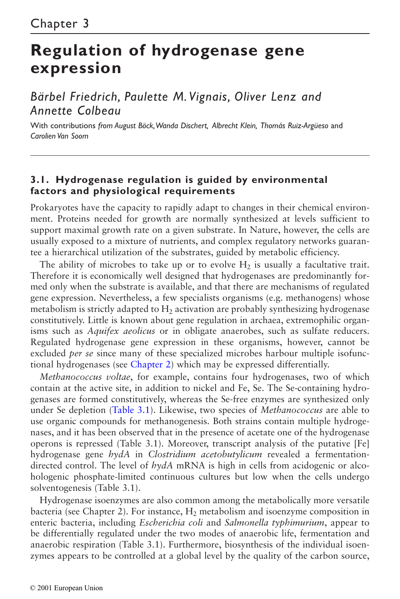# **Regulation of hydrogenase gene expression**

# *Bärbel Friedrich, Paulette M. Vignais, Oliver Lenz and Annette Colbeau*

With contributions *from August Böck,Wanda Dischert, Albrecht Klein, Thomás Ruiz-Argüeso* and *Carolien Van Soom*

#### **3.1. Hydrogenase regulation is guided by environmental factors and physiological requirements**

Prokaryotes have the capacity to rapidly adapt to changes in their chemical environment. Proteins needed for growth are normally synthesized at levels sufficient to support maximal growth rate on a given substrate. In Nature, however, the cells are usually exposed to a mixture of nutrients, and complex regulatory networks guarantee a hierarchical utilization of the substrates, guided by metabolic efficiency.

The ability of microbes to take up or to evolve  $H_2$  is usually a facultative trait. Therefore it is economically well designed that hydrogenases are predominantly formed only when the substrate is available, and that there are mechanisms of regulated gene expression. Nevertheless, a few specialists organisms (e.g. methanogens) whose metabolism is strictly adapted to  $H_2$  activation are probably synthesizing hydrogenase constitutively. Little is known about gene regulation in archaea, extremophilic organisms such as *Aquifex aeolicus* or in obligate anaerobes, such as sulfate reducers. Regulated hydrogenase gene expression in these organisms, however, cannot be excluded *per se* since many of these specialized microbes harbour multiple isofunctional hydrogenases (see Chapter 2) which may be expressed differentially.

*Methanococcus voltae*, for example, contains four hydrogenases, two of which contain at the active site, in addition to nickel and Fe, Se. The Se-containing hydrogenases are formed constitutively, whereas the Se-free enzymes are synthesized only under Se depletion ([Table 3.1\)](#page-1-0). Likewise, two species of *Methanococcus* are able to use organic compounds for methanogenesis. Both strains contain multiple hydrogenases, and it has been observed that in the presence of acetate one of the hydrogenase operons is repressed (Table 3.1). Moreover, transcript analysis of the putative [Fe] hydrogenase gene *hydA* in *Clostridium acetobutylicum* revealed a fermentationdirected control. The level of *hydA* mRNA is high in cells from acidogenic or alcohologenic phosphate-limited continuous cultures but low when the cells undergo solventogenesis (Table 3.1).

Hydrogenase isoenzymes are also common among the metabolically more versatile bacteria (see Chapter 2). For instance,  $H_2$  metabolism and isoenzyme composition in enteric bacteria, including *Escherichia coli* and *Salmonella typhimurium*, appear to be differentially regulated under the two modes of anaerobic life, fermentation and anaerobic respiration (Table 3.1). Furthermore, biosynthesis of the individual isoenzymes appears to be controlled at a global level by the quality of the carbon source,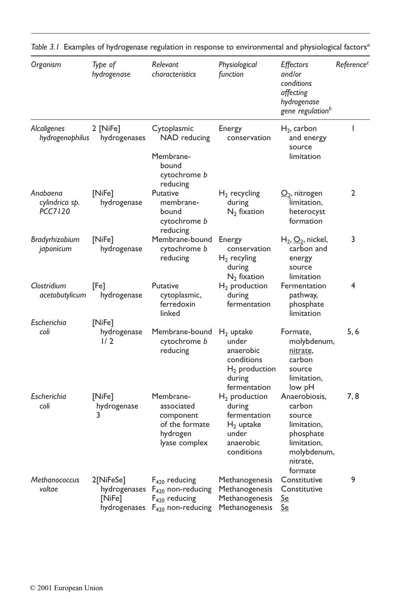| Organism                              | Type of<br>hydrogenase              | Relevant<br>characteristics                                                                                      | Physiological<br>function                                                                      | <b>Effectors</b><br>and/or<br>conditions<br>affecting<br>hydrogenase<br>gene regulation <sup>b</sup>               | Reference <sup>c</sup> |
|---------------------------------------|-------------------------------------|------------------------------------------------------------------------------------------------------------------|------------------------------------------------------------------------------------------------|--------------------------------------------------------------------------------------------------------------------|------------------------|
| Alcaligenes<br>hydrogenophilus        | 2 [NiFe]<br>hydrogenases            | Cytoplasmic<br>NAD reducing<br>Membrane-<br>bound<br>cytochrome b<br>reducing                                    | Energy<br>conservation                                                                         | $H_2$ , carbon<br>and energy<br>source<br>limitation                                                               | ı                      |
| Anabaena<br>cylindrica sp.<br>PCC7120 | [NiFe]<br>hydrogenase               | Putative<br>membrane-<br>bound<br>cytochrome b<br>reducing                                                       | $H_2$ recycling<br>during<br>$N_2$ fixation                                                    | $Q_2$ , nitrogen<br>limitation,<br>heterocyst<br>formation                                                         | 2                      |
| Bradyrhizobium<br>japonicum           | [NiFe]<br>hydrogenase               | Membrane-bound<br>cytochrome <i>b</i><br>reducing                                                                | Energy<br>conservation<br>$H_2$ recyling<br>during<br>$N_2$ fixation                           | $H_2$ , $Q_2$ , nickel,<br>carbon and<br>energy<br>source<br>limitation                                            | 3                      |
| Clostridium<br>acetobutylicum         | [Fe]<br>hydrogenase                 | Putative<br>cytoplasmic,<br>ferredoxin<br>linked                                                                 | $H_2$ production<br>during<br>fermentation                                                     | Fermentation<br>pathway,<br>phosphate<br>limitation                                                                | 4                      |
| Escherichia<br>coli                   | [NiFe]<br>hydrogenase<br>1/2        | Membrane-bound<br>cytochrome b<br>reducing                                                                       | $H_2$ uptake<br>under<br>anaerobic<br>conditions<br>$H_2$ production<br>during<br>fermentation | Formate,<br>molybdenum,<br>nitrate,<br>carbon<br>source<br>limitation,<br>low pH                                   | 5, 6                   |
| Escherichia<br>coli                   | $[N$ i $Fe]$<br>hydrogenase<br>3    | Membrane-<br>associated<br>component<br>of the formate<br>hydrogen<br>lyase complex                              | $H_2$ production<br>during<br>fermentation<br>$H_2$ uptake<br>under<br>anaerobic<br>conditions | Anaerobiosis,<br>carbon<br>source<br>limitation,<br>phosphate<br>limitation,<br>molybdenum,<br>nitrate,<br>formate | 7,8                    |
| Methanococcus<br>voltae               | 2[NiFeSe]<br>hydrogenases<br>[NiFe] | $F_{420}$ reducing<br>$F_{420}$ non-reducing<br>$F_{420}$ reducing<br>hydrogenases F <sub>420</sub> non-reducing | Methanogenesis<br>Methanogenesis<br>Methanogenesis<br>Methanogenesis                           | Constitutive<br>Constitutive<br>Se<br>Se                                                                           | 9                      |

<span id="page-1-0"></span>*Table 3.1* Examples of hydrogenase regulation in response to environmental and physiological factors*<sup>a</sup>*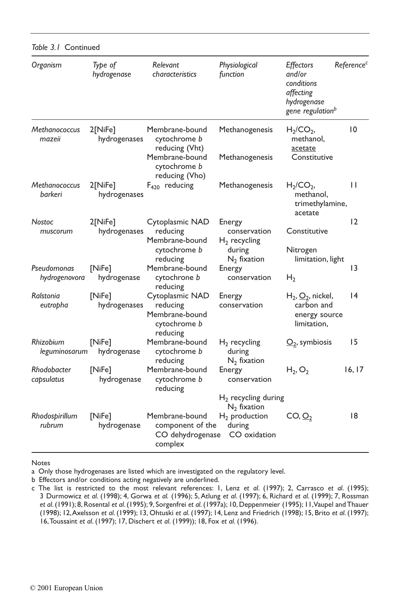| Organism                          | Type of<br>hydrogenase              | Relevant<br>characteristics                                               | Physiological<br>function                   | <b>Effectors</b><br>and/or<br>conditions<br>affecting<br>hydrogenase<br>gene regulation <sup>b</sup> | Reference       |
|-----------------------------------|-------------------------------------|---------------------------------------------------------------------------|---------------------------------------------|------------------------------------------------------------------------------------------------------|-----------------|
| Methanococcus<br>mazeii           | 2[NiFe]<br>hydrogenases             | Membrane-bound<br>cytochrome b<br>reducing (Vht)                          | Methanogenesis                              | H <sub>2</sub> /CO <sub>2</sub><br>methanol.<br>acetate                                              | 10              |
|                                   |                                     | Membrane-bound<br>cytochrome b<br>reducing (Vho)                          | Methanogenesis                              | Constitutive                                                                                         |                 |
| Methanococcus<br>barkeri          | 2[NiFe]<br>hydrogenases             | $F_{420}$ reducing                                                        | Methanogenesis                              | H <sub>2</sub> /CO <sub>2</sub><br>methanol,<br>trimethylamine,<br>acetate                           | Н               |
| Nostoc<br>muscorum                | 2[NiFe]<br>hydrogenases             | Cytoplasmic NAD<br>reducing<br>Membrane-bound                             | Energy<br>conservation<br>$H_2$ recycling   | Constitutive                                                                                         | 12              |
|                                   |                                     | cytochrome b<br>reducing                                                  | during<br>$N_2$ fixation                    | Nitrogen<br>limitation, light                                                                        |                 |
| Pseudomonas<br>hydrogenovora      | [NiFe]<br>hydrogenase               | Membrane-bound<br>cytochrone b<br>reducing                                | Energy<br>conservation                      | H <sub>2</sub>                                                                                       | $\overline{13}$ |
| Ralstonia<br>eutropha             | [N <sub>iFe</sub> ]<br>hydrogenases | Cytoplasmic NAD<br>reducing<br>Membrane-bound<br>cytochrome b<br>reducing | Energy<br>conservation                      | $H_2, \underline{O}_2$ , nickel,<br>carbon and<br>energy source<br>limitation,                       | $\overline{14}$ |
| <b>Rhizobium</b><br>leguminosarum | [NiFe]<br>hydrogenase               | Membrane-bound<br>cytochrome b<br>reducing                                | $H_2$ recycling<br>during<br>$N_2$ fixation | $Q_2$ , symbiosis                                                                                    | 15              |
| Rhodobacter<br>capsulatus         | [NiFe]<br>hydrogenase               | Membrane-bound<br>cytochrome b<br>reducing                                | Energy<br>conservation                      | $H_2, O_2$                                                                                           | 16, 17          |
|                                   |                                     |                                                                           | $H_2$ recycling during<br>$N_2$ fixation    |                                                                                                      |                 |
| Rhodospirillum<br>rubrum          | [NiFe]<br>hydrogenase               | Membrane-bound<br>component of the<br>CO dehydrogenase<br>complex         | $H_2$ production<br>during<br>CO oxidation  | CO, O <sub>2</sub>                                                                                   | 8               |

*Table 3.1* Continued

Notes

a Only those hydrogenases are listed which are investigated on the regulatory level.

b Effectors and/or conditions acting negatively are underlined.

c The list is restricted to the most relevant references: 1, Lenz *et al*. (1997); 2, Carrasco *et al*. (1995); 3 Durmowicz *et al*. (1998); 4, Gorwa *et al.* (1996); 5, Atlung *et al*. (1997); 6, Richard *et al*. (1999); 7, Rossman *et al*. (1991); 8, Rosental *et al*. (1995); 9, Sorgenfrei *et al*. (1997a); 10, Deppenmeier (1995); 11,Vaupel and Thauer (1998); 12,Axelsson *et al*. (1999); 13, Ohtuski *et al*. (1997); 14, Lenz and Friedrich (1998); 15, Brito *et al*. (1997); 16,Toussaint *et al*. (1997); 17, Dischert *et al*. (1999)); 18, Fox *et al*. (1996).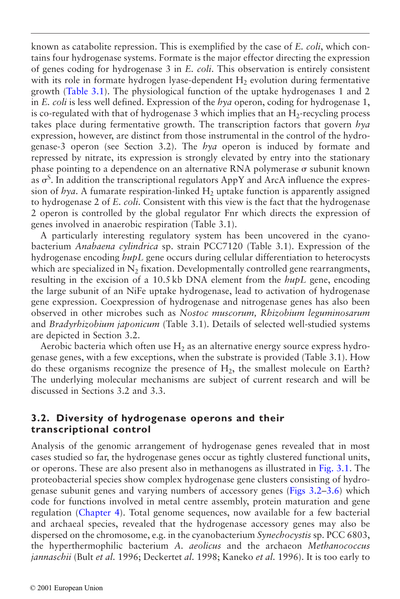known as catabolite repression. This is exemplified by the case of *E. coli*, which contains four hydrogenase systems. Formate is the major effector directing the expression of genes coding for hydrogenase 3 in *E. coli*. This observation is entirely consistent with its role in formate hydrogen lyase-dependent  $H_2$  evolution during fermentative growth [\(Table 3.1\)](#page-1-0). The physiological function of the uptake hydrogenases 1 and 2 in *E. coli* is less well defined. Expression of the *hya* operon, coding for hydrogenase 1, is co-regulated with that of hydrogenase 3 which implies that an  $H_2$ -recycling process takes place during fermentative growth. The transcription factors that govern *hya* expression, however, are distinct from those instrumental in the control of the hydrogenase-3 operon (see Section 3.2). The *hya* operon is induced by formate and repressed by nitrate, its expression is strongly elevated by entry into the stationary phase pointing to a dependence on an alternative RNA polymerase  $\sigma$  subunit known as  $\sigma^S$ . In addition the transcriptional regulators AppY and ArcA influence the expression of  $hya$ . A fumarate respiration-linked  $H_2$  uptake function is apparently assigned to hydrogenase 2 of *E. coli*. Consistent with this view is the fact that the hydrogenase 2 operon is controlled by the global regulator Fnr which directs the expression of genes involved in anaerobic respiration (Table 3.1).

A particularly interesting regulatory system has been uncovered in the cyanobacterium *Anabaena cylindrica* sp. strain PCC7120 (Table 3.1). Expression of the hydrogenase encoding *hupL* gene occurs during cellular differentiation to heterocysts which are specialized in  $N_2$  fixation. Developmentally controlled gene rearrangments, resulting in the excision of a 10.5 kb DNA element from the *hupL* gene, encoding the large subunit of an NiFe uptake hydrogenase, lead to activation of hydrogenase gene expression. Coexpression of hydrogenase and nitrogenase genes has also been observed in other microbes such as *Nostoc muscorum, Rhizobium leguminosarum* and *Bradyrhizobium japonicum* (Table 3.1). Details of selected well-studied systems are depicted in Section 3.2.

Aerobic bacteria which often use  $H_2$  as an alternative energy source express hydrogenase genes, with a few exceptions, when the substrate is provided (Table 3.1). How do these organisms recognize the presence of  $H_2$ , the smallest molecule on Earth? The underlying molecular mechanisms are subject of current research and will be discussed in Sections 3.2 and 3.3.

# **3.2. Diversity of hydrogenase operons and their transcriptional control**

Analysis of the genomic arrangement of hydrogenase genes revealed that in most cases studied so far, the hydrogenase genes occur as tightly clustered functional units, or operons. These are also present also in methanogens as illustrated in [Fig. 3.1](#page-4-0). The proteobacterial species show complex hydrogenase gene clusters consisting of hydrogenase subunit genes and varying numbers of accessory genes [\(Figs 3.2](#page-5-0)–[3.6\)](#page-8-0) which code for functions involved in metal centre assembly, protein maturation and gene regulation (Chapter 4). Total genome sequences, now available for a few bacterial and archaeal species, revealed that the hydrogenase accessory genes may also be dispersed on the chromosome, e.g. in the cyanobacterium *Synechocystis* sp. PCC 6803, the hyperthermophilic bacterium *A. aeolicus* and the archaeon *Methanococcus jannaschii* (Bult *et al*. 1996; Deckertet *al*. 1998; Kaneko *et al*. 1996). It is too early to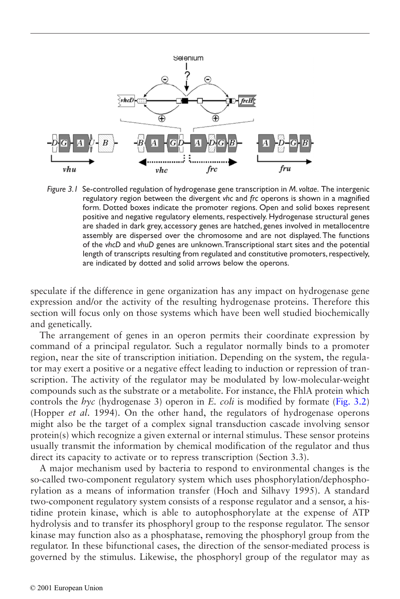<span id="page-4-0"></span>

*Figure 3.1* Se-controlled regulation of hydrogenase gene transcription in *M*.*voltae*. The intergenic regulatory region between the divergent *vhc* and *frc* operons is shown in a magnified form. Dotted boxes indicate the promoter regions. Open and solid boxes represent positive and negative regulatory elements, respectively. Hydrogenase structural genes are shaded in dark grey, accessory genes are hatched, genes involved in metallocentre assembly are dispersed over the chromosome and are not displayed. The functions of the *vhcD* and *vhuD* genes are unknown.Transcriptional start sites and the potential length of transcripts resulting from regulated and constitutive promoters, respectively, are indicated by dotted and solid arrows below the operons.

speculate if the difference in gene organization has any impact on hydrogenase gene expression and/or the activity of the resulting hydrogenase proteins. Therefore this section will focus only on those systems which have been well studied biochemically and genetically.

The arrangement of genes in an operon permits their coordinate expression by command of a principal regulator. Such a regulator normally binds to a promoter region, near the site of transcription initiation. Depending on the system, the regulator may exert a positive or a negative effect leading to induction or repression of transcription. The activity of the regulator may be modulated by low-molecular-weight compounds such as the substrate or a metabolite. For instance, the FhlA protein which controls the *hyc* (hydrogenase 3) operon in *E. coli* is modified by formate [\(Fig. 3.2\)](#page-5-0) (Hopper *et al*. 1994). On the other hand, the regulators of hydrogenase operons might also be the target of a complex signal transduction cascade involving sensor protein(s) which recognize a given external or internal stimulus. These sensor proteins usually transmit the information by chemical modification of the regulator and thus direct its capacity to activate or to repress transcription (Section 3.3).

A major mechanism used by bacteria to respond to environmental changes is the so-called two-component regulatory system which uses phosphorylation/dephosphorylation as a means of information transfer (Hoch and Silhavy 1995). A standard two-component regulatory system consists of a response regulator and a sensor, a histidine protein kinase, which is able to autophosphorylate at the expense of ATP hydrolysis and to transfer its phosphoryl group to the response regulator. The sensor kinase may function also as a phosphatase, removing the phosphoryl group from the regulator. In these bifunctional cases, the direction of the sensor-mediated process is governed by the stimulus. Likewise, the phosphoryl group of the regulator may as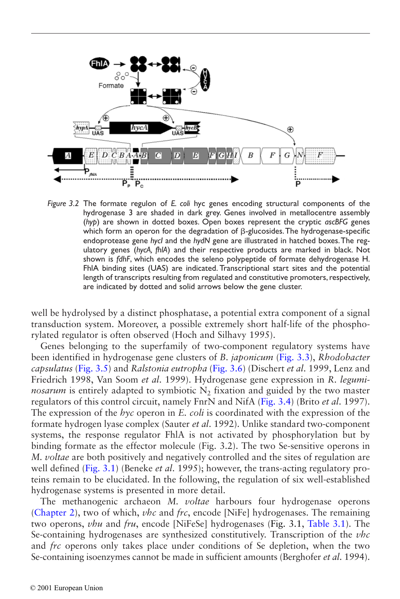<span id="page-5-0"></span>

*Figure 3.2* The formate regulon of *E. coli* hyc genes encoding structural components of the hydrogenase 3 are shaded in dark grey. Genes involved in metallocentre assembly (*hyp*) are shown in dotted boxes. Open boxes represent the cryptic *ascBFG* genes which form an operon for the degradation of  $\beta$ -glucosides. The hydrogenase-specific endoprotease gene *hycI* and the *hydN* gene are illustrated in hatched boxes.The regulatory genes (*hycA, fhlA*) and their respective products are marked in black. Not shown is *fdhF*, which encodes the seleno polypeptide of formate dehydrogenase H. FhlA binding sites (UAS) are indicated. Transcriptional start sites and the potential length of transcripts resulting from regulated and constitutive promoters, respectively, are indicated by dotted and solid arrows below the gene cluster.

well be hydrolysed by a distinct phosphatase, a potential extra component of a signal transduction system. Moreover, a possible extremely short half-life of the phosphorylated regulator is often observed (Hoch and Silhavy 1995).

Genes belonging to the superfamily of two-component regulatory systems have been identified in hydrogenase gene clusters of *B. japonicum* [\(Fig. 3.3](#page-6-0)), *Rhodobacter capsulatus* [\(Fig. 3.5](#page-8-0)) and *Ralstonia eutropha* [\(Fig. 3.6](#page-8-0)) (Dischert *et al*. 1999, Lenz and Friedrich 1998, Van Soom *et al*. 1999). Hydrogenase gene expression in *R. leguminosarum* is entirely adapted to symbiotic  $N_2$  fixation and guided by the two master regulators of this control circuit, namely FnrN and NifA ([Fig. 3.4](#page-7-0)) (Brito *et al*. 1997). The expression of the *hyc* operon in *E. coli* is coordinated with the expression of the formate hydrogen lyase complex (Sauter *et al*. 1992). Unlike standard two-component systems, the response regulator FhlA is not activated by phosphorylation but by binding formate as the effector molecule (Fig. 3.2). The two Se-sensitive operons in *M. voltae* are both positively and negatively controlled and the sites of regulation are well defined [\(Fig. 3.1\)](#page-4-0) (Beneke *et al*. 1995); however, the trans-acting regulatory proteins remain to be elucidated. In the following, the regulation of six well-established hydrogenase systems is presented in more detail.

The methanogenic archaeon *M. voltae* harbours four hydrogenase operons (Chapter 2), two of which, *vhc* and *frc*, encode [NiFe] hydrogenases. The remaining two operons, *vhu* and *fru*, encode [NiFeSe] hydrogenases (Fig. 3.1, [Table](#page-1-0) 3.1). The Se-containing hydrogenases are synthesized constitutively. Transcription of the *vhc* and *frc* operons only takes place under conditions of Se depletion, when the two Se-containing isoenzymes cannot be made in sufficient amounts (Berghofer *et al*. 1994).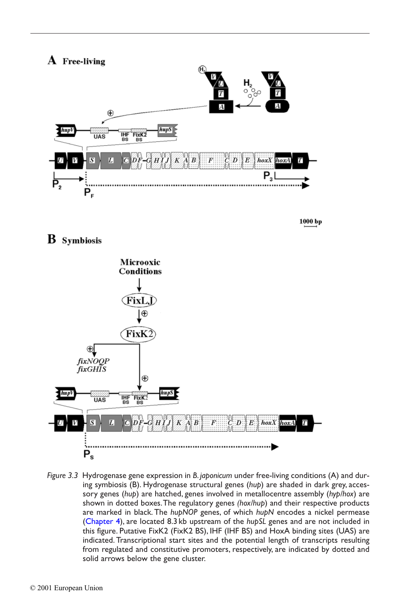<span id="page-6-0"></span>

1000 bp

# **B** Symbiosis



*Figure 3.3* Hydrogenase gene expression in *B. japonicum* under free-living conditions (A) and during symbiosis (B). Hydrogenase structural genes (*hup*) are shaded in dark grey, accessory genes (*hup*) are hatched, genes involved in metallocentre assembly (*hyp/hox*) are shown in dotted boxes.The regulatory genes *(hox/hup*) and their respective products are marked in black. The *hupNOP* genes, of which *hupN* encodes a nickel permease (Chapter 4), are located 8.3 kb upstream of the *hupSL* genes and are not included in this figure. Putative FixK2 (FixK2 BS), IHF (IHF BS) and HoxA binding sites (UAS) are indicated. Transcriptional start sites and the potential length of transcripts resulting from regulated and constitutive promoters, respectively, are indicated by dotted and solid arrows below the gene cluster.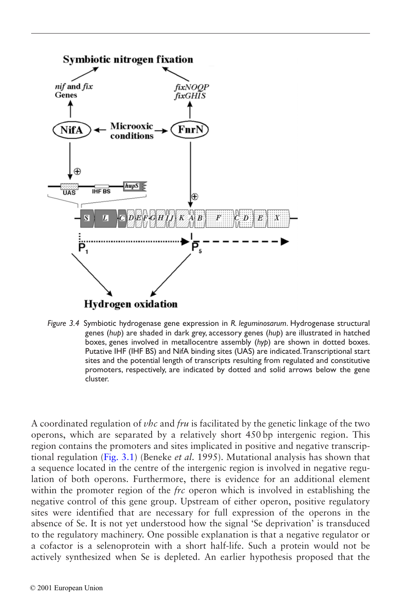<span id="page-7-0"></span>

*Figure 3.4* Symbiotic hydrogenase gene expression in *R. leguminosarum*. Hydrogenase structural genes (*hup*) are shaded in dark grey, accessory genes (*hup*) are illustrated in hatched boxes, genes involved in metallocentre assembly (*hyp*) are shown in dotted boxes. Putative IHF (IHF BS) and NifA binding sites (UAS) are indicated.Transcriptional start sites and the potential length of transcripts resulting from regulated and constitutive promoters, respectively, are indicated by dotted and solid arrows below the gene cluster.

A coordinated regulation of *vhc* and *fru* is facilitated by the genetic linkage of the two operons, which are separated by a relatively short 450 bp intergenic region. This region contains the promoters and sites implicated in positive and negative transcriptional regulation ([Fig. 3.1](#page-4-0)) (Beneke *et al*. 1995). Mutational analysis has shown that a sequence located in the centre of the intergenic region is involved in negative regulation of both operons. Furthermore, there is evidence for an additional element within the promoter region of the *frc* operon which is involved in establishing the negative control of this gene group. Upstream of either operon, positive regulatory sites were identified that are necessary for full expression of the operons in the absence of Se. It is not yet understood how the signal 'Se deprivation' is transduced to the regulatory machinery. One possible explanation is that a negative regulator or a cofactor is a selenoprotein with a short half-life. Such a protein would not be actively synthesized when Se is depleted. An earlier hypothesis proposed that the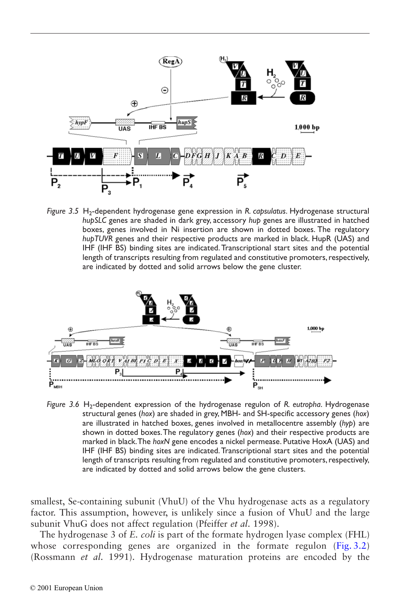<span id="page-8-0"></span>

*Figure 3.5* H2-dependent hydrogenase gene expression in *R. capsulatus*. Hydrogenase structural *hupSLC* genes are shaded in dark grey, accessory *hup* genes are illustrated in hatched boxes, genes involved in Ni insertion are shown in dotted boxes. The regulatory *hupTUVR* genes and their respective products are marked in black. HupR (UAS) and IHF (IHF BS) binding sites are indicated.Transcriptional start sites and the potential length of transcripts resulting from regulated and constitutive promoters, respectively, are indicated by dotted and solid arrows below the gene cluster.



*Figure 3.6* H<sub>2</sub>-dependent expression of the hydrogenase regulon of *R. eutropha.* Hydrogenase structural genes (*hox*) are shaded in grey, MBH- and SH-specific accessory genes (*hox*) are illustrated in hatched boxes, genes involved in metallocentre assembly (*hyp*) are shown in dotted boxes.The regulatory genes (*hox*) and their respective products are marked in black.The *hoxN* gene encodes a nickel permease. Putative HoxA (UAS) and IHF (IHF BS) binding sites are indicated.Transcriptional start sites and the potential length of transcripts resulting from regulated and constitutive promoters, respectively, are indicated by dotted and solid arrows below the gene clusters.

smallest, Se-containing subunit (VhuU) of the Vhu hydrogenase acts as a regulatory factor. This assumption, however, is unlikely since a fusion of VhuU and the large subunit VhuG does not affect regulation (Pfeiffer *et al*. 1998).

The hydrogenase 3 of *E. coli* is part of the formate hydrogen lyase complex (FHL) whose corresponding genes are organized in the formate regulon ([Fig. 3.2\)](#page-5-0) (Rossmann *et al*. 1991). Hydrogenase maturation proteins are encoded by the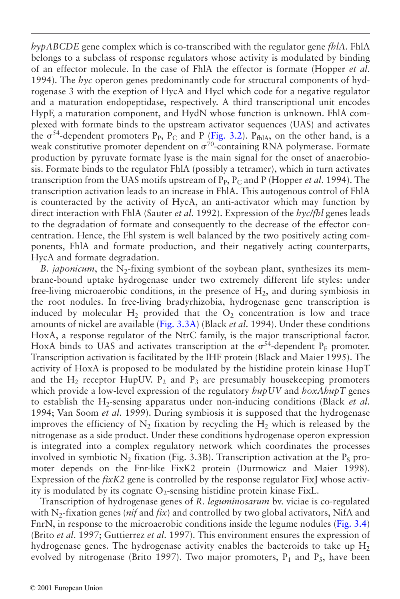*hypABCDE* gene complex which is co-transcribed with the regulator gene *fhlA*. FhlA belongs to a subclass of response regulators whose activity is modulated by binding of an effector molecule. In the case of FhlA the effector is formate (Hopper *et al*. 1994). The *hyc* operon genes predominantly code for structural components of hydrogenase 3 with the exeption of HycA and HycI which code for a negative regulator and a maturation endopeptidase, respectively. A third transcriptional unit encodes HypF, a maturation component, and HydN whose function is unknown. FhlA complexed with formate binds to the upstream activator sequences (UAS) and activates the  $\sigma^{54}$ -dependent promoters P<sub>P</sub>, P<sub>C</sub> and P ([Fig. 3.2\)](#page-5-0). P<sub>fhlA</sub>, on the other hand, is a weak constitutive promoter dependent on  $\sigma^{70}$ -containing RNA polymerase. Formate production by pyruvate formate lyase is the main signal for the onset of anaerobiosis. Formate binds to the regulator FhlA (possibly a tetramer), which in turn activates transcription from the UAS motifs upstream of  $P_P$ ,  $P_C$  and P (Hopper *et al.* 1994). The transcription activation leads to an increase in FhlA. This autogenous control of FhlA is counteracted by the activity of HycA, an anti-activator which may function by direct interaction with FhlA (Sauter *et al*. 1992). Expression of the *hyc/fhl* genes leads to the degradation of formate and consequently to the decrease of the effector concentration. Hence, the Fhl system is well balanced by the two positively acting components, FhlA and formate production, and their negatively acting counterparts, HycA and formate degradation.

*B. japonicum*, the N<sub>2</sub>-fixing symbiont of the soybean plant, synthesizes its membrane-bound uptake hydrogenase under two extremely different life styles: under free-living microaerobic conditions, in the presence of  $H_2$ , and during symbiosis in the root nodules. In free-living bradyrhizobia, hydrogenase gene transcription is induced by molecular  $H_2$  provided that the  $O_2$  concentration is low and trace amounts of nickel are available [\(Fig. 3.3A](#page-6-0)) (Black *et al*. 1994). Under these conditions HoxA, a response regulator of the NtrC family, is the major transcriptional factor. HoxA binds to UAS and activates transcription at the  $\sigma^{54}$ -dependent P<sub>F</sub> promoter. Transcription activation is facilitated by the IHF protein (Black and Maier 1995). The activity of HoxA is proposed to be modulated by the histidine protein kinase HupT and the  $H_2$  receptor HupUV.  $P_2$  and  $P_3$  are presumably housekeeping promoters which provide a low-level expression of the regulatory *hupUV* and *hoxAhupT* genes to establish the H2-sensing apparatus under non-inducing conditions (Black *et al*. 1994; Van Soom *et al*. 1999). During symbiosis it is supposed that the hydrogenase improves the efficiency of  $N_2$  fixation by recycling the  $H_2$  which is released by the nitrogenase as a side product. Under these conditions hydrogenase operon expression is integrated into a complex regulatory network which coordinates the processes involved in symbiotic N<sub>2</sub> fixation (Fig. 3.3B). Transcription activation at the P<sub>S</sub> promoter depends on the Fnr-like FixK2 protein (Durmowicz and Maier 1998). Expression of the *fixK2* gene is controlled by the response regulator FixJ whose activity is modulated by its cognate  $O<sub>2</sub>$ -sensing histidine protein kinase FixL.

Transcription of hydrogenase genes of *R. leguminosarum* bv. viciae is co-regulated with N2-fixation genes (*nif* and *fix*) and controlled by two global activators, NifA and FnrN, in response to the microaerobic conditions inside the legume nodules [\(Fig. 3.4\)](#page-7-0) (Brito *et al*. 1997; Guttierrez *et al*. 1997). This environment ensures the expression of hydrogenase genes. The hydrogenase activity enables the bacteroids to take up  $H_2$ evolved by nitrogenase (Brito 1997). Two major promoters,  $P_1$  and  $P_5$ , have been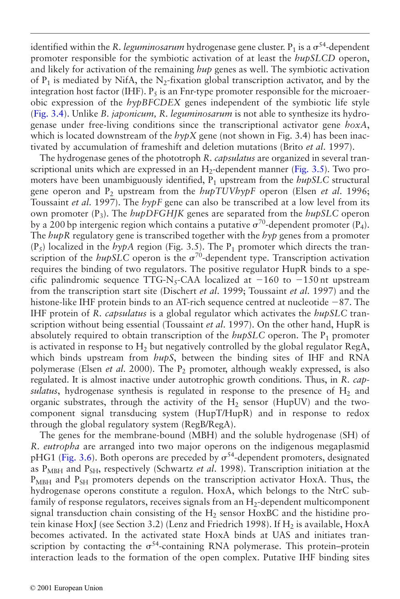identified within the *R. leguminosarum* hydrogenase gene cluster.  $P_1$  is a  $\sigma^{54}$ -dependent promoter responsible for the symbiotic activation of at least the *hupSLCD* operon, and likely for activation of the remaining *hup* genes as well. The symbiotic activation of  $P_1$  is mediated by NifA, the N<sub>2</sub>-fixation global transcription activator, and by the integration host factor (IHF).  $P_5$  is an Fnr-type promoter responsible for the microaerobic expression of the *hypBFCDEX* genes independent of the symbiotic life style [\(Fig. 3.4](#page-7-0)). Unlike *B. japonicum, R. leguminosarum* is not able to synthesize its hydrogenase under free-living conditions since the transcriptional activator gene *hoxA*, which is located downstream of the  $hypX$  gene (not shown in Fig. 3.4) has been inactivated by accumulation of frameshift and deletion mutations (Brito *et al*. 1997).

The hydrogenase genes of the phototroph *R. capsulatus* are organized in several transcriptional units which are expressed in an  $H_2$ -dependent manner ([Fig. 3.5\)](#page-8-0). Two promoters have been unambiguously identified, P<sub>1</sub> upstream from the *hupSLC* structural gene operon and P2 upstream from the *hupTUVhypF* operon (Elsen *et al*. 1996; Toussaint *et al*. 1997). The *hypF* gene can also be transcribed at a low level from its own promoter (P3). The *hupDFGHJK* genes are separated from the *hupSLC* operon by a 200 bp intergenic region which contains a putative  $\sigma^{70}$ -dependent promoter (P<sub>4</sub>). The *hupR* regulatory gene is transcribed together with the *hyp* genes from a promoter  $(P_5)$  localized in the *hypA* region (Fig. 3.5). The  $P_1$  promoter which directs the transcription of the  $hupSLC$  operon is the  $\sigma^{70}$ -dependent type. Transcription activation requires the binding of two regulators. The positive regulator HupR binds to a specific palindromic sequence TTG-N<sub>5</sub>-CAA localized at  $-160$  to  $-150$  nt upstream from the transcription start site (Dischert *et al*. 1999; Toussaint *et al*. 1997) and the histone-like IHF protein binds to an AT-rich sequence centred at nucleotide  $-87$ . The IHF protein of *R. capsulatus* is a global regulator which activates the *hupSLC* transcription without being essential (Toussaint *et al*. 1997). On the other hand, HupR is absolutely required to obtain transcription of the  $hurbSLC$  operon. The  $P_1$  promoter is activated in response to  $H_2$  but negatively controlled by the global regulator RegA, which binds upstream from *hupS*, between the binding sites of IHF and RNA polymerase (Elsen *et al*. 2000). The P2 promoter, although weakly expressed, is also regulated. It is almost inactive under autotrophic growth conditions. Thus, in *R. cap* $sulatus$ , hydrogenase synthesis is regulated in response to the presence of  $H_2$  and organic substrates, through the activity of the  $H_2$  sensor (HupUV) and the twocomponent signal transducing system (HupT/HupR) and in response to redox through the global regulatory system (RegB/RegA).

The genes for the membrane-bound (MBH) and the soluble hydrogenase (SH) of *R. eutropha* are arranged into two major operons on the indigenous megaplasmid pHG1 [\(Fig. 3.6\)](#page-8-0). Both operons are preceded by  $\sigma^{54}$ -dependent promoters, designated as P<sub>MBH</sub> and P<sub>SH</sub>, respectively (Schwartz *et al.* 1998). Transcription initiation at the  $P_{MBH}$  and  $P_{SH}$  promoters depends on the transcription activator HoxA. Thus, the hydrogenase operons constitute a regulon. HoxA, which belongs to the NtrC subfamily of response regulators, receives signals from an  $H_2$ -dependent multicomponent signal transduction chain consisting of the  $H<sub>2</sub>$  sensor HoxBC and the histidine protein kinase HoxJ (see Section 3.2) (Lenz and Friedrich 1998). If  $H_2$  is available, HoxA becomes activated. In the activated state HoxA binds at UAS and initiates transcription by contacting the  $\sigma^{54}$ -containing RNA polymerase. This protein–protein interaction leads to the formation of the open complex. Putative IHF binding sites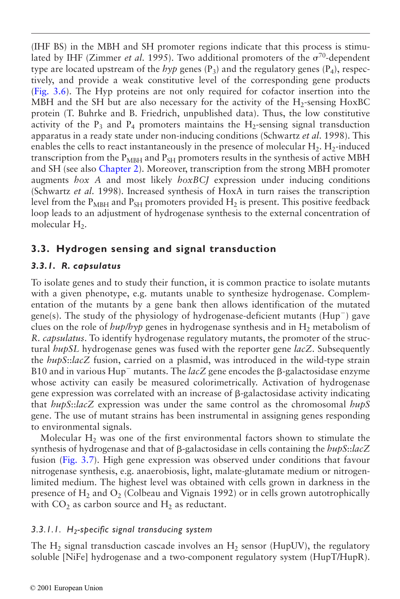(IHF BS) in the MBH and SH promoter regions indicate that this process is stimulated by IHF (Zimmer *et al.* 1995). Two additional promoters of the  $\sigma^{70}$ -dependent type are located upstream of the *hyp* genes  $(P_3)$  and the regulatory genes  $(P_4)$ , respectively, and provide a weak constitutive level of the corresponding gene products ([Fig. 3.6\)](#page-8-0). The Hyp proteins are not only required for cofactor insertion into the MBH and the SH but are also necessary for the activity of the  $H_2$ -sensing  $HoxBC$ protein (T. Buhrke and B. Friedrich, unpublished data). Thus, the low constitutive activity of the  $P_3$  and  $P_4$  promoters maintains the H<sub>2</sub>-sensing signal transduction apparatus in a ready state under non-inducing conditions (Schwartz *et al*. 1998). This enables the cells to react instantaneously in the presence of molecular  $H_2$ .  $H_2$ -induced transcription from the  $P_{MRH}$  and  $P_{SH}$  promoters results in the synthesis of active MBH and SH (see also Chapter 2). Moreover, transcription from the strong MBH promoter augments *hox A* and most likely *hoxBCJ* expression under inducing conditions (Schwartz *et al*. 1998). Increased synthesis of HoxA in turn raises the transcription level from the  $P_{MRH}$  and  $P_{SH}$  promoters provided  $H_2$  is present. This positive feedback loop leads to an adjustment of hydrogenase synthesis to the external concentration of molecular H<sub>2</sub>.

# **3.3. Hydrogen sensing and signal transduction**

# *3.3.1. R. capsulatus*

To isolate genes and to study their function, it is common practice to isolate mutants with a given phenotype, e.g. mutants unable to synthesize hydrogenase. Complementation of the mutants by a gene bank then allows identification of the mutated gene(s). The study of the physiology of hydrogenase-deficient mutants  $(Hup^-)$  gave clues on the role of  $h\nu p/h\nu p$  genes in hydrogenase synthesis and in  $H_2$  metabolism of *R. capsulatus*. To identify hydrogenase regulatory mutants, the promoter of the structural *hupSL* hydrogenase genes was fused with the reporter gene *lacZ*. Subsequently the *hupS*::*lacZ* fusion, carried on a plasmid, was introduced in the wild-type strain B10 and in various Hup<sup>-</sup> mutants. The  $lacZ$  gene encodes the  $\beta$ -galactosidase enzyme whose activity can easily be measured colorimetrically. Activation of hydrogenase gene expression was correlated with an increase of  $\beta$ -galactosidase activity indicating that *hupS*::*lacZ* expression was under the same control as the chromosomal *hupS* gene. The use of mutant strains has been instrumental in assigning genes responding to environmental signals.

Molecular  $H_2$  was one of the first environmental factors shown to stimulate the synthesis of hydrogenase and that of  $\beta$ -galactosidase in cells containing the *hupS*::*lacZ* fusion [\(Fig. 3.7\)](#page-12-0). High gene expression was observed under conditions that favour nitrogenase synthesis, e.g. anaerobiosis, light, malate-glutamate medium or nitrogenlimited medium. The highest level was obtained with cells grown in darkness in the presence of  $H_2$  and  $O_2$  (Colbeau and Vignais 1992) or in cells grown autotrophically with  $CO<sub>2</sub>$  as carbon source and  $H<sub>2</sub>$  as reductant.

# *3.3.1.1. H2-specific signal transducing system*

The  $H_2$  signal transduction cascade involves an  $H_2$  sensor (HupUV), the regulatory soluble [NiFe] hydrogenase and a two-component regulatory system (HupT/HupR).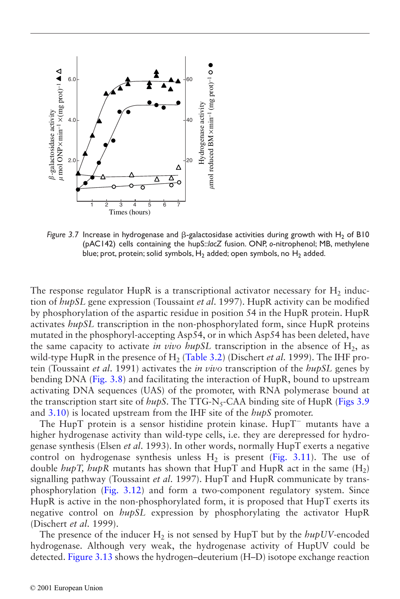<span id="page-12-0"></span>

*Figure 3.7* Increase in hydrogenase and  $\beta$ -galactosidase activities during growth with H<sub>2</sub> of B10 (pAC142) cells containing the hupS::*lacZ* fusion. ONP, *o*-nitrophenol; MB, methylene blue; prot, protein; solid symbols,  $H_2$  added; open symbols, no  $H_2$  added.

The response regulator HupR is a transcriptional activator necessary for  $H_2$  induction of *hupSL* gene expression (Toussaint *et al*. 1997). HupR activity can be modified by phosphorylation of the aspartic residue in position 54 in the HupR protein. HupR activates *hupSL* transcription in the non-phosphorylated form, since HupR proteins mutated in the phosphoryl-accepting Asp54, or in which Asp54 has been deleted, have the same capacity to activate *in vivo hupSL* transcription in the absence of  $H_2$ , as wild-type HupR in the presence of H<sub>2</sub> [\(Table 3.2\)](#page-13-0) (Dischert *et al.* 1999). The IHF protein (Toussaint *et al*. 1991) activates the *in vivo* transcription of the *hupSL* genes by bending DNA [\(Fig. 3.8](#page-14-0)) and facilitating the interaction of HupR, bound to upstream activating DNA sequences (UAS) of the promoter, with RNA polymerase bound at the transcription start site of *hupS*. The TTG-N<sub>5</sub>-CAA binding site of HupR [\(Figs 3.9](#page-15-0)) and [3.10\)](#page-16-0) is located upstream from the IHF site of the *hupS* promoter.

The HupT protein is a sensor histidine protein kinase.  $HupT$  mutants have a higher hydrogenase activity than wild-type cells, i.e. they are derepressed for hydrogenase synthesis (Elsen *et al*. 1993). In other words, normally HupT exerts a negative control on hydrogenase synthesis unless  $H_2$  is present [\(Fig. 3.11\)](#page-17-0). The use of double  $hupT$ ,  $hupR$  mutants has shown that HupT and HupR act in the same  $(H<sub>2</sub>)$ signalling pathway (Toussaint *et al*. 1997). HupT and HupR communicate by transphosphorylation [\(Fig. 3.12](#page-17-0)) and form a two-component regulatory system. Since HupR is active in the non-phosphorylated form, it is proposed that HupT exerts its negative control on *hupSL* expression by phosphorylating the activator HupR (Dischert *et al*. 1999).

The presence of the inducer  $H_2$  is not sensed by HupT but by the  $h\nu pUV$ -encoded hydrogenase. Although very weak, the hydrogenase activity of HupUV could be detected. [Figure 3.13](#page-18-0) shows the hydrogen–deuterium (H–D) isotope exchange reaction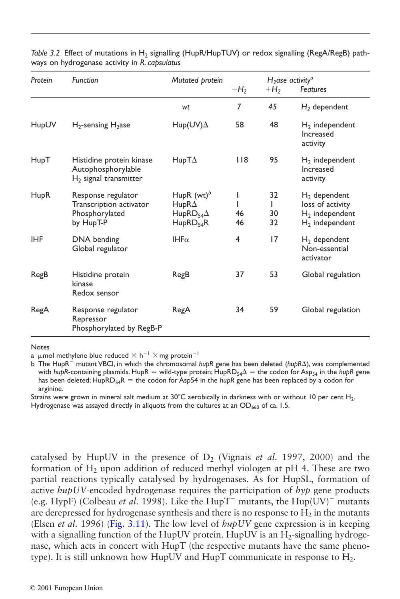| Protein     | <b>Function</b>                                                              | Mutated protein                                                                        |               | $H_2$ ase activity <sup>a</sup> |                                                                              |
|-------------|------------------------------------------------------------------------------|----------------------------------------------------------------------------------------|---------------|---------------------------------|------------------------------------------------------------------------------|
|             |                                                                              |                                                                                        | $-H2$         | $+H2$                           | <b>Features</b>                                                              |
|             |                                                                              | wt                                                                                     | 7             | 45                              | $H2$ dependent                                                               |
| HupUV       | $H_2$ -sensing $H_2$ ase                                                     | $Hup(UV)\Delta$                                                                        | 58            | 48                              | $H_2$ independent<br>Increased<br>activity                                   |
| HupT        | Histidine protein kinase<br>Autophosphorylable<br>$H_2$ signal transmitter   | $HupT\Delta$                                                                           | 118           | 95                              | $H_2$ independent<br>Increased<br>activity                                   |
| <b>HupR</b> | Response regulator<br>Transcription activator<br>Phosphorylated<br>by HupT-P | HupR $(wt)^b$<br>$HupR\Delta$<br>HupRD <sub>54</sub> $\Delta$<br>HupRD <sub>54</sub> R | L<br>46<br>46 | 32<br>30<br>32                  | $H2$ dependent<br>loss of activity<br>$H_2$ independent<br>$H_2$ independent |
| <b>IHF</b>  | DNA bending<br>Global regulator                                              | IHF $\alpha$                                                                           | 4             | 17                              | $H2$ dependent<br>Non-essential<br>activator                                 |
| RegB        | Histidine protein<br>kinase<br>Redox sensor                                  | RegB                                                                                   | 37            | 53                              | Global regulation                                                            |
| RegA        | Response regulator<br>Repressor<br>Phosphorylated by RegB-P                  | RegA                                                                                   | 34            | 59                              | Global regulation                                                            |

<span id="page-13-0"></span>*Table 3.2* Effect of mutations in H<sub>2</sub> signalling (HupR/HupTUV) or redox signalling (RegA/RegB) pathways on hydrogenase activity in *R. capsulatus*

Notes

a µmol methylene blue reduced  $\times$  h<sup>-1</sup>  $\times$  mg protein<sup>-1</sup>

b The HupR<sup>-</sup> mutant VBCI, in which the chromosomal *hupR* gene has been deleted (*hupR*Δ), was complemented with *hupR*-containing plasmids. HupR  $=$  wild-type protein;  ${\sf{Hupp}}{\sf{B}}_{54}\Delta =$  the codon for Asp<sub>54</sub> in the *hupR g*ene has been deleted; HupRD<sub>54</sub>R = the codon for Asp54 in the *hupR* gene has been replaced by a codon for arginine.

Strains were grown in mineral salt medium at  $30^{\circ}$ C aerobically in darkness with or without 10 per cent H<sub>2</sub>. Hydrogenase was assayed directly in aliquots from the cultures at an  $OD<sub>660</sub>$  of ca. 1.5.

catalysed by HupUV in the presence of D<sub>2</sub> (Vignais *et al.* 1997, 2000) and the formation of  $H_2$  upon addition of reduced methyl viologen at pH 4. These are two partial reactions typically catalysed by hydrogenases. As for HupSL, formation of active *hupUV*-encoded hydrogenase requires the participation of *hyp* gene products (e.g. HypF) (Colbeau *et al.* 1998). Like the HupT<sup>-</sup> mutants, the Hup(UV)<sup>-</sup> mutants are derepressed for hydrogenase synthesis and there is no response to  $H_2$  in the mutants (Elsen *et al*. 1996) [\(Fig. 3.11\)](#page-17-0). The low level of *hupUV* gene expression is in keeping with a signalling function of the HupUV protein. HupUV is an  $H_2$ -signalling hydrogenase, which acts in concert with HupT (the respective mutants have the same phenotype). It is still unknown how HupUV and HupT communicate in response to  $H_2$ .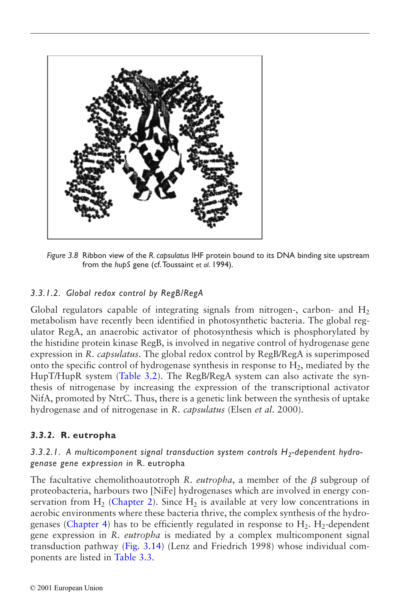<span id="page-14-0"></span>

*Figure 3.8* Ribbon view of the *R. capsulatus* IHF protein bound to its DNA binding site upstream from the *hupS* gene (cf.Toussaint *et al*. 1994).

#### *3.3.1.2. Global redox control by RegB/RegA*

Global regulators capable of integrating signals from nitrogen-, carbon- and  $H_2$ metabolism have recently been identified in photosynthetic bacteria. The global regulator RegA, an anaerobic activator of photosynthesis which is phosphorylated by the histidine protein kinase RegB, is involved in negative control of hydrogenase gene expression in *R. capsulatus*. The global redox control by RegB/RegA is superimposed onto the specific control of hydrogenase synthesis in response to  $H_2$ , mediated by the HupT/HupR system [\(Table 3.2\)](#page-13-0). The RegB/RegA system can also activate the synthesis of nitrogenase by increasing the expression of the transcriptional activator NifA, promoted by NtrC. Thus, there is a genetic link between the synthesis of uptake hydrogenase and of nitrogenase in *R. capsulatus* (Elsen *et al*. 2000).

#### *3.3.2.* **R. eutropha**

# 3.3.2.1. A multicomponent signal transduction system controls H<sub>2</sub>-dependent hydro*genase gene expression in* R. eutropha

The facultative chemolithoautotroph *R. eutropha*, a member of the  $\beta$  subgroup of proteobacteria, harbours two [NiFe] hydrogenases which are involved in energy conservation from  $H_2$  (Chapter 2). Since  $H_2$  is available at very low concentrations in aerobic environments where these bacteria thrive, the complex synthesis of the hydrogenases (Chapter 4) has to be efficiently regulated in response to  $H_2$ . H<sub>2</sub>-dependent gene expression in *R. eutropha* is mediated by a complex multicomponent signal transduction pathway ([Fig. 3.14\)](#page-18-0) (Lenz and Friedrich 1998) whose individual components are listed in [Table 3.3](#page-19-0).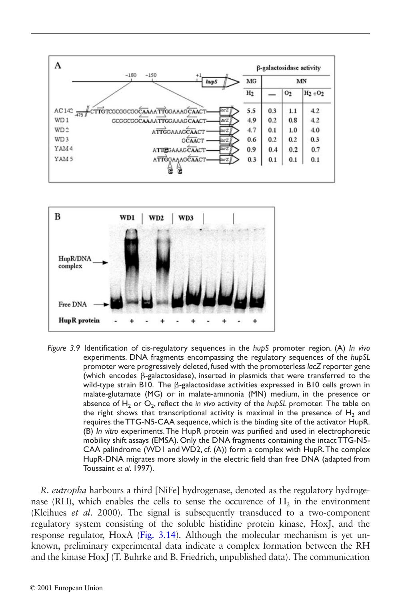<span id="page-15-0"></span>



*Figure 3.9* Identification of cis-regulatory sequences in the *hupS* promoter region. (A) *In vivo* experiments. DNA fragments encompassing the regulatory sequences of the *hupSL* promoter were progressively deleted, fused with the promoterless *lacZ* reporter gene (which encodes  $\beta$ -galactosidase), inserted in plasmids that were transferred to the wild-type strain B10. The  $\beta$ -galactosidase activities expressed in B10 cells grown in malate-glutamate (MG) or in malate-ammonia (MN) medium, in the presence or absence of H<sub>2</sub> or O<sub>2</sub>, reflect the *in vivo* activity of the *hupSL* promoter. The table on the right shows that transcriptional activity is maximal in the presence of  $H_2$  and requires the TTG-N5-CAA sequence, which is the binding site of the activator HupR. (B) *In vitro* experiments.The HupR protein was purified and used in electrophoretic mobility shift assays (EMSA). Only the DNA fragments containing the intact TTG-N5- CAA palindrome (WD1 and WD2, cf. (A)) form a complex with HupR.The complex HupR-DNA migrates more slowly in the electric field than free DNA (adapted from Toussaint *et al*. 1997).

*R. eutropha* harbours a third [NiFe] hydrogenase, denoted as the regulatory hydrogenase (RH), which enables the cells to sense the occurence of  $H<sub>2</sub>$  in the environment (Kleihues *et al*. 2000). The signal is subsequently transduced to a two-component regulatory system consisting of the soluble histidine protein kinase, HoxJ, and the response regulator, HoxA [\(Fig. 3.14\)](#page-18-0). Although the molecular mechanism is yet unknown, preliminary experimental data indicate a complex formation between the RH and the kinase HoxJ (T. Buhrke and B. Friedrich, unpublished data). The communication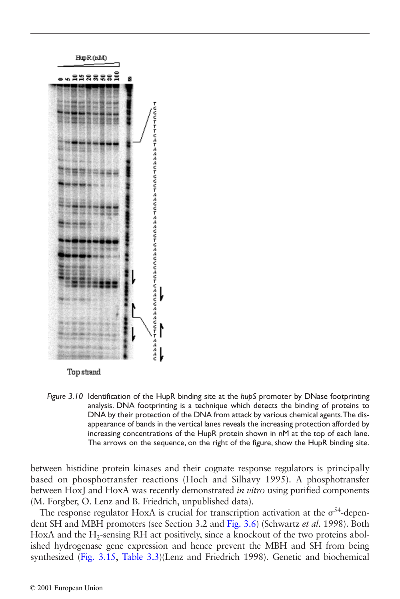<span id="page-16-0"></span>

Top strand

*Figure 3.10* Identification of the HupR binding site at the *hupS* promoter by DNase footprinting analysis. DNA footprinting is a technique which detects the binding of proteins to DNA by their protection of the DNA from attack by various chemical agents.The disappearance of bands in the vertical lanes reveals the increasing protection afforded by increasing concentrations of the HupR protein shown in nM at the top of each lane. The arrows on the sequence, on the right of the figure, show the HupR binding site.

between histidine protein kinases and their cognate response regulators is principally based on phosphotransfer reactions (Hoch and Silhavy 1995). A phosphotransfer between HoxJ and HoxA was recently demonstrated *in vitro* using purified components (M. Forgber, O. Lenz and B. Friedrich, unpublished data).

The response regulator HoxA is crucial for transcription activation at the  $\sigma^{54}$ -dependent SH and MBH promoters (see Section 3.2 and [Fig. 3.6\)](#page-8-0) (Schwartz *et al*. 1998). Both HoxA and the H<sub>2</sub>-sensing RH act positively, since a knockout of the two proteins abolished hydrogenase gene expression and hence prevent the MBH and SH from being synthesized [\(Fig. 3.15,](#page-20-0) [Table 3.3\)](#page-19-0)(Lenz and Friedrich 1998). Genetic and biochemical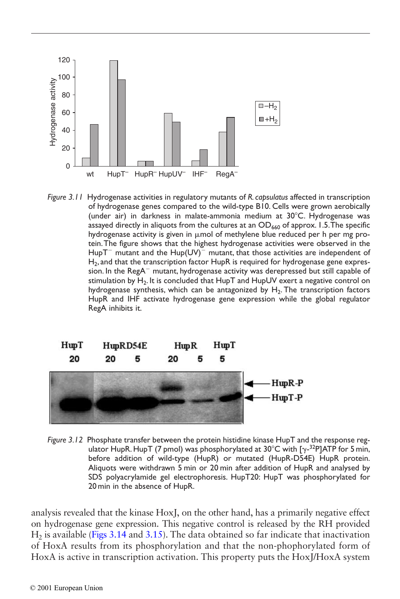<span id="page-17-0"></span>

*Figure 3.11* Hydrogenase activities in regulatory mutants of *R. capsulatus* affected in transcription of hydrogenase genes compared to the wild-type B10. Cells were grown aerobically (under air) in darkness in malate-ammonia medium at 30 C. Hydrogenase was assayed directly in aliquots from the cultures at an  $OD<sub>660</sub>$  of approx. 1.5. The specific hydrogenase activity is given in  $\mu$ mol of methylene blue reduced per h per mg protein.The figure shows that the highest hydrogenase activities were observed in the HupT<sup>-</sup> mutant and the Hup(UV)<sup>-</sup> mutant, that those activities are independent of  $H<sub>2</sub>$ , and that the transcription factor  $HupR$  is required for hydrogenase gene expression. In the RegA $<sup>-</sup>$  mutant, hydrogenase activity was derepressed but still capable of</sup> stimulation by  $H_2$ . It is concluded that  $HupT$  and  $HupUV$  exert a negative control on hydrogenase synthesis, which can be antagonized by H<sub>2</sub>. The transcription factors HupR and IHF activate hydrogenase gene expression while the global regulator RegA inhibits it.



*Figure 3.12* Phosphate transfer between the protein histidine kinase HupT and the response regulator HupR. HupT (7 pmol) was phosphorylated at 30°C with [ $\gamma$ -<sup>32</sup>P]ATP for 5 min, before addition of wild-type (HupR) or mutated (HupR-D54E) HupR protein. Aliquots were withdrawn 5 min or 20 min after addition of HupR and analysed by SDS polyacrylamide gel electrophoresis. HupT20: HupT was phosphorylated for 20 min in the absence of HupR.

analysis revealed that the kinase HoxJ, on the other hand, has a primarily negative effect on hydrogenase gene expression. This negative control is released by the RH provided  $H<sub>2</sub>$  is available ([Figs 3.14](#page-18-0) and [3.15\)](#page-20-0). The data obtained so far indicate that inactivation of HoxA results from its phosphorylation and that the non-phophorylated form of HoxA is active in transcription activation. This property puts the HoxJ/HoxA system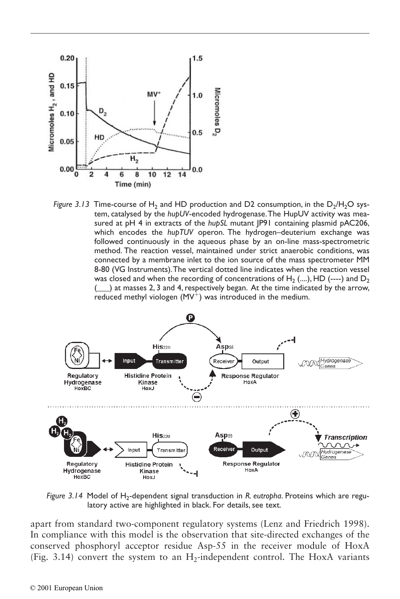<span id="page-18-0"></span>

*Figure 3.13* Time-course of H<sub>2</sub> and HD production and D2 consumption, in the  $D_2/H_2O$  system, catalysed by the *hupUV*-encoded hydrogenase.The HupUV activity was measured at pH 4 in extracts of the *hupSL* mutant  $|P9|$  containing plasmid pAC206, which encodes the *hupTUV* operon. The hydrogen–deuterium exchange was followed continuously in the aqueous phase by an on-line mass-spectrometric method. The reaction vessel, maintained under strict anaerobic conditions, was connected by a membrane inlet to the ion source of the mass spectrometer MM 8-80 (VG Instruments).The vertical dotted line indicates when the reaction vessel was closed and when the recording of concentrations of  $H_2$  (...,), HD (----) and D<sub>2</sub> ) at masses 2, 3 and 4, respectively began. At the time indicated by the arrow, reduced methyl viologen  $(MV^+)$  was introduced in the medium.



*Figure 3.14* Model of H<sub>2</sub>-dependent signal transduction in *R. eutropha*. Proteins which are regulatory active are highlighted in black. For details, see text.

apart from standard two-component regulatory systems (Lenz and Friedrich 1998). In compliance with this model is the observation that site-directed exchanges of the conserved phosphoryl acceptor residue Asp-55 in the receiver module of HoxA (Fig. 3.14) convert the system to an  $H_2$ -independent control. The HoxA variants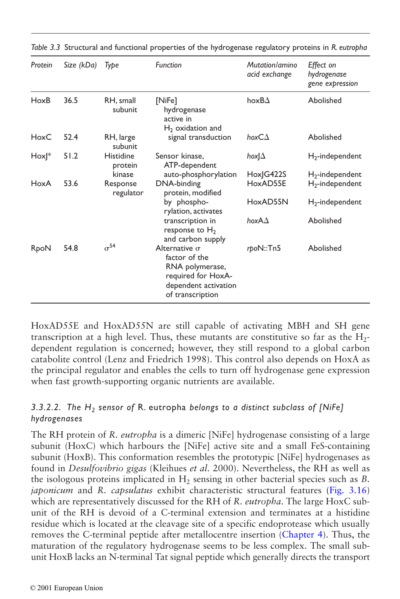| Protein | Size (kDa) | Type                            | <b>Function</b>                                                                                                            | Mutation/amino<br>acid exchange | Effect on<br>hydrogenase<br>gene expression |
|---------|------------|---------------------------------|----------------------------------------------------------------------------------------------------------------------------|---------------------------------|---------------------------------------------|
| HoxB    | 36.5       | RH, small<br>subunit            | [NiFe]<br>hydrogenase<br>active in<br>$H2$ oxidation and                                                                   | hox $B\Delta$                   | Abolished                                   |
| HoxC    | 52.4       | RH, large<br>subunit            | signal transduction                                                                                                        | hox $C\Delta$                   | Abolished                                   |
| $How *$ | 51.2       | <b>Histidine</b><br>protein     | Sensor kinase,<br>ATP-dependent                                                                                            | hox] $\Delta$                   | $H_2$ -independent                          |
| HoxA    | 53.6       | kinase<br>Response<br>regulator | auto-phosphorylation<br>DNA-binding<br>protein, modified                                                                   | Hox G422S<br>HoxAD55E           | $H_2$ -independent<br>$H_2$ -independent    |
|         |            |                                 | by phospho-<br>rylation, activates                                                                                         | HoxAD55N                        | $H_2$ -independent                          |
|         |            |                                 | transcription in<br>response to $H_2$<br>and carbon supply                                                                 | hox $A\Delta$                   | Abolished                                   |
| RpoN    | 54.8       | $\sigma^{54}$                   | Alternative $\sigma$<br>factor of the<br>RNA polymerase,<br>required for HoxA-<br>dependent activation<br>of transcription | rpoN::Tn5                       | Abolished                                   |

<span id="page-19-0"></span>*Table 3.3* Structural and functional properties of the hydrogenase regulatory proteins in *R. eutropha*

HoxAD55E and HoxAD55N are still capable of activating MBH and SH gene transcription at a high level. Thus, these mutants are constitutive so far as the  $H_2$ dependent regulation is concerned; however, they still respond to a global carbon catabolite control (Lenz and Friedrich 1998). This control also depends on HoxA as the principal regulator and enables the cells to turn off hydrogenase gene expression when fast growth-supporting organic nutrients are available.

# *3.3.2.2. The H2 sensor of* R. eutropha *belongs to a distinct subclass of [NiFe] hydrogenases*

The RH protein of *R. eutropha* is a dimeric [NiFe] hydrogenase consisting of a large subunit (HoxC) which harbours the [NiFe] active site and a small FeS-containing subunit (HoxB). This conformation resembles the prototypic [NiFe] hydrogenases as found in *Desulfovibrio gigas* (Kleihues *et al*. 2000). Nevertheless, the RH as well as the isologous proteins implicated in  $H_2$  sensing in other bacterial species such as  $B$ . *japonicum* and *R. capsulatus* exhibit characteristic structural features (Fig. [3.16](#page-20-0)) which are representatively discussed for the RH of *R. eutropha*. The large HoxC subunit of the RH is devoid of a C-terminal extension and terminates at a histidine residue which is located at the cleavage site of a specific endoprotease which usually removes the C-terminal peptide after metallocentre insertion (Chapter 4). Thus, the maturation of the regulatory hydrogenase seems to be less complex. The small subunit HoxB lacks an N-terminal Tat signal peptide which generally directs the transport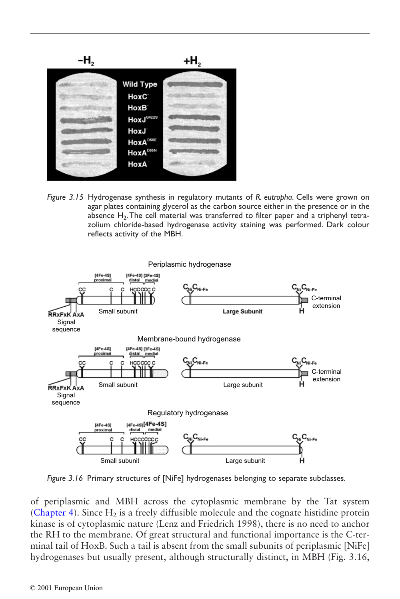<span id="page-20-0"></span>

*Figure 3.15* Hydrogenase synthesis in regulatory mutants of *R. eutropha*. Cells were grown on agar plates containing glycerol as the carbon source either in the presence or in the absence  $H_2$ . The cell material was transferred to filter paper and a triphenyl tetrazolium chloride-based hydrogenase activity staining was performed. Dark colour reflects activity of the MBH.



*Figure 3.16* Primary structures of [NiFe] hydrogenases belonging to separate subclasses.

of periplasmic and MBH across the cytoplasmic membrane by the Tat system (Chapter 4). Since  $H_2$  is a freely diffusible molecule and the cognate histidine protein kinase is of cytoplasmic nature (Lenz and Friedrich 1998), there is no need to anchor the RH to the membrane. Of great structural and functional importance is the C-terminal tail of HoxB. Such a tail is absent from the small subunits of periplasmic [NiFe] hydrogenases but usually present, although structurally distinct, in MBH (Fig. 3.16,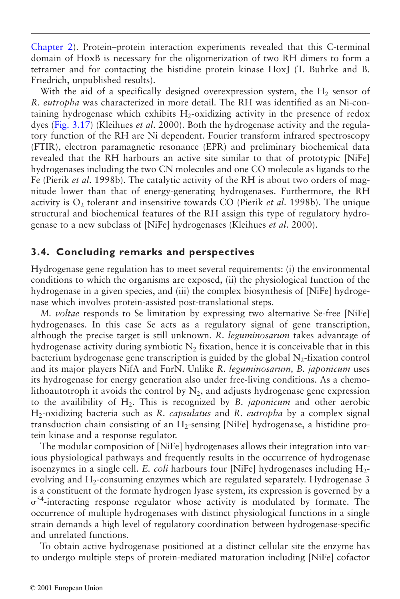Chapter 2). Protein–protein interaction experiments revealed that this C-terminal domain of HoxB is necessary for the oligomerization of two RH dimers to form a tetramer and for contacting the histidine protein kinase HoxJ (T. Buhrke and B. Friedrich, unpublished results).

With the aid of a specifically designed overexpression system, the  $H<sub>2</sub>$  sensor of *R. eutropha* was characterized in more detail. The RH was identified as an Ni-containing hydrogenase which exhibits  $H_2$ -oxidizing activity in the presence of redox dyes [\(Fig. 3.17\)](#page-22-0) (Kleihues *et al*. 2000). Both the hydrogenase activity and the regulatory function of the RH are Ni dependent. Fourier transform infrared spectroscopy (FTIR), electron paramagnetic resonance (EPR) and preliminary biochemical data revealed that the RH harbours an active site similar to that of prototypic [NiFe] hydrogenases including the two CN molecules and one CO molecule as ligands to the Fe (Pierik *et al*. 1998b). The catalytic activity of the RH is about two orders of magnitude lower than that of energy-generating hydrogenases. Furthermore, the RH activity is  $O<sub>2</sub>$  tolerant and insensitive towards CO (Pierik *et al.* 1998b). The unique structural and biochemical features of the RH assign this type of regulatory hydrogenase to a new subclass of [NiFe] hydrogenases (Kleihues *et al*. 2000).

# **3.4. Concluding remarks and perspectives**

Hydrogenase gene regulation has to meet several requirements: (i) the environmental conditions to which the organisms are exposed, (ii) the physiological function of the hydrogenase in a given species, and (iii) the complex biosynthesis of [NiFe] hydrogenase which involves protein-assisted post-translational steps.

*M. voltae* responds to Se limitation by expressing two alternative Se-free [NiFe] hydrogenases. In this case Se acts as a regulatory signal of gene transcription, although the precise target is still unknown. *R. leguminosarum* takes advantage of hydrogenase activity during symbiotic  $N_2$  fixation, hence it is conceivable that in this bacterium hydrogenase gene transcription is guided by the global  $N_2$ -fixation control and its major players NifA and FnrN. Unlike *R. leguminosarum, B. japonicum* uses its hydrogenase for energy generation also under free-living conditions. As a chemolithoautotroph it avoids the control by  $N_2$ , and adjusts hydrogenase gene expression to the availibility of  $H_2$ . This is recognized by *B. japonicum* and other aerobic H2-oxidizing bacteria such as *R. capsulatus* and *R. eutropha* by a complex signal transduction chain consisting of an H<sub>2</sub>-sensing [NiFe] hydrogenase, a histidine protein kinase and a response regulator.

The modular composition of [NiFe] hydrogenases allows their integration into various physiological pathways and frequently results in the occurrence of hydrogenase isoenzymes in a single cell. *E. coli* harbours four [NiFe] hydrogenases including H<sub>2</sub>evolving and  $H_2$ -consuming enzymes which are regulated separately. Hydrogenase 3 is a constituent of the formate hydrogen lyase system, its expression is governed by a  $\sigma^{54}$ -interacting response regulator whose activity is modulated by formate. The occurrence of multiple hydrogenases with distinct physiological functions in a single strain demands a high level of regulatory coordination between hydrogenase-specific and unrelated functions.

To obtain active hydrogenase positioned at a distinct cellular site the enzyme has to undergo multiple steps of protein-mediated maturation including [NiFe] cofactor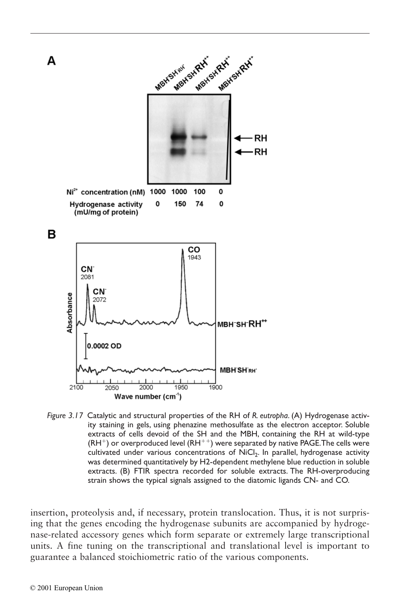<span id="page-22-0"></span>

*Figure 3.17* Catalytic and structural properties of the RH of *R. eutropha*. (A) Hydrogenase activity staining in gels, using phenazine methosulfate as the electron acceptor. Soluble extracts of cells devoid of the SH and the MBH, containing the RH at wild-type  $(RH^+)$  or overproduced level  $(RH^{++})$  were separated by native PAGE. The cells were cultivated under various concentrations of NiCl<sub>2</sub>. In parallel, hydrogenase activity was determined quantitatively by H2-dependent methylene blue reduction in soluble extracts. (B) FTIR spectra recorded for soluble extracts. The RH-overproducing strain shows the typical signals assigned to the diatomic ligands CN- and CO.

insertion, proteolysis and, if necessary, protein translocation. Thus, it is not surprising that the genes encoding the hydrogenase subunits are accompanied by hydrogenase-related accessory genes which form separate or extremely large transcriptional units. A fine tuning on the transcriptional and translational level is important to guarantee a balanced stoichiometric ratio of the various components.